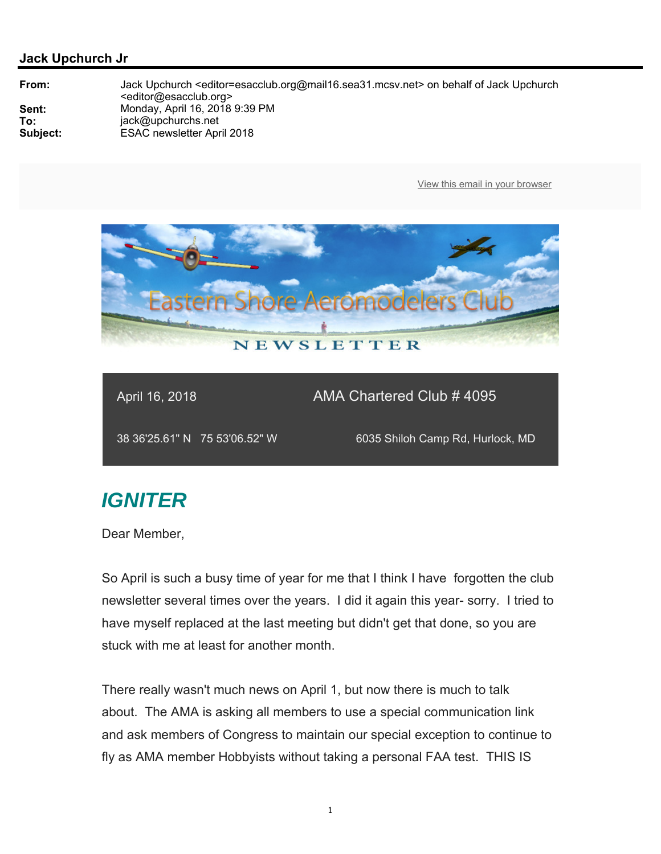

April 16, 2018 **AMA Chartered Club # 4095** 

38 36'25.61" N 75 53'06.52" W 6035 Shiloh Camp Rd, Hurlock, MD

# *IGNITER*

Dear Member,

So April is such a busy time of year for me that I think I have forgotten the club newsletter several times over the years. I did it again this year- sorry. I tried to have myself replaced at the last meeting but didn't get that done, so you are stuck with me at least for another month.

There really wasn't much news on April 1, but now there is much to talk about. The AMA is asking all members to use a special communication link and ask members of Congress to maintain our special exception to continue to fly as AMA member Hobbyists without taking a personal FAA test. THIS IS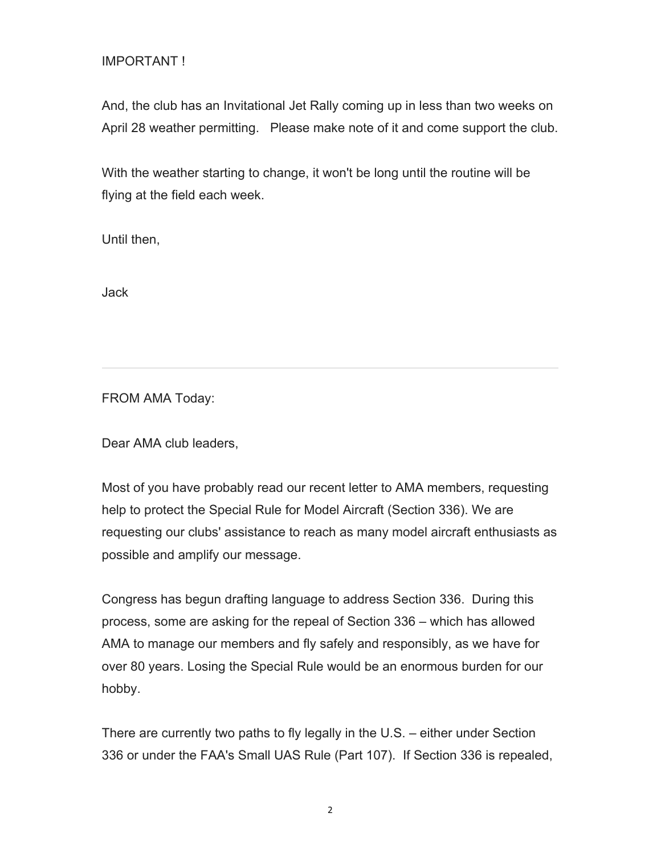### IMPORTANT !

And, the club has an Invitational Jet Rally coming up in less than two weeks on April 28 weather permitting. Please make note of it and come support the club.

With the weather starting to change, it won't be long until the routine will be flying at the field each week.

Until then,

Jack

FROM AMA Today:

Dear AMA club leaders,

Most of you have probably read our recent letter to AMA members, requesting help to protect the Special Rule for Model Aircraft (Section 336). We are requesting our clubs' assistance to reach as many model aircraft enthusiasts as possible and amplify our message.

Congress has begun drafting language to address Section 336. During this process, some are asking for the repeal of Section 336 – which has allowed AMA to manage our members and fly safely and responsibly, as we have for over 80 years. Losing the Special Rule would be an enormous burden for our hobby.

There are currently two paths to fly legally in the U.S. – either under Section 336 or under the FAA's Small UAS Rule (Part 107). If Section 336 is repealed,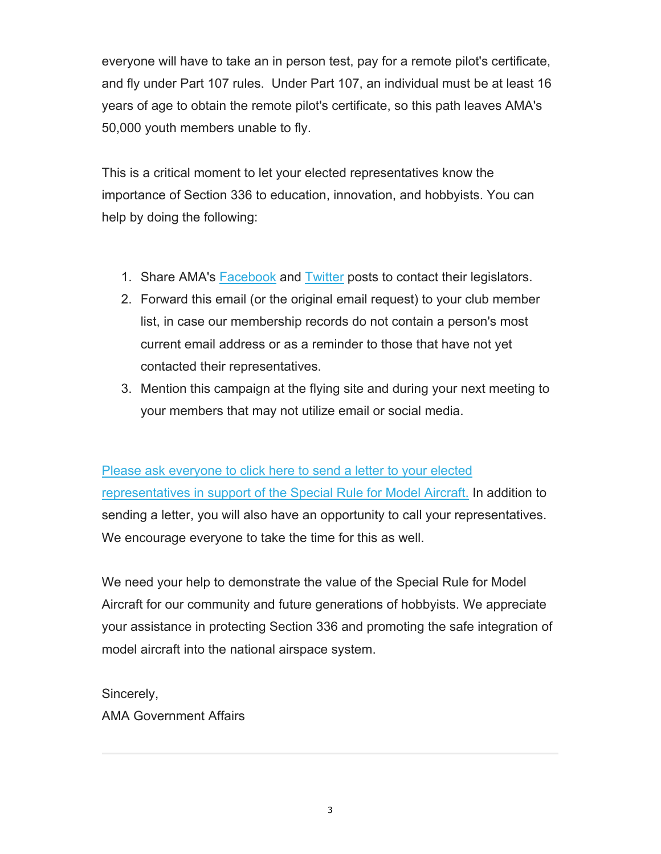everyone will have to take an in person test, pay for a remote pilot's certificate, and fly under Part 107 rules. Under Part 107, an individual must be at least 16 years of age to obtain the remote pilot's certificate, so this path leaves AMA's 50,000 youth members unable to fly.

This is a critical moment to let your elected representatives know the importance of Section 336 to education, innovation, and hobbyists. You can help by doing the following:

- 1. Share AMA's Facebook and Twitter posts to contact their legislators.
- 2. Forward this email (or the original email request) to your club member list, in case our membership records do not contain a person's most current email address or as a reminder to those that have not yet contacted their representatives.
- 3. Mention this campaign at the flying site and during your next meeting to your members that may not utilize email or social media.

Please ask everyone to click here to send a letter to your elected representatives in support of the Special Rule for Model Aircraft. In addition to sending a letter, you will also have an opportunity to call your representatives. We encourage everyone to take the time for this as well.

We need your help to demonstrate the value of the Special Rule for Model Aircraft for our community and future generations of hobbyists. We appreciate your assistance in protecting Section 336 and promoting the safe integration of model aircraft into the national airspace system.

Sincerely, AMA Government Affairs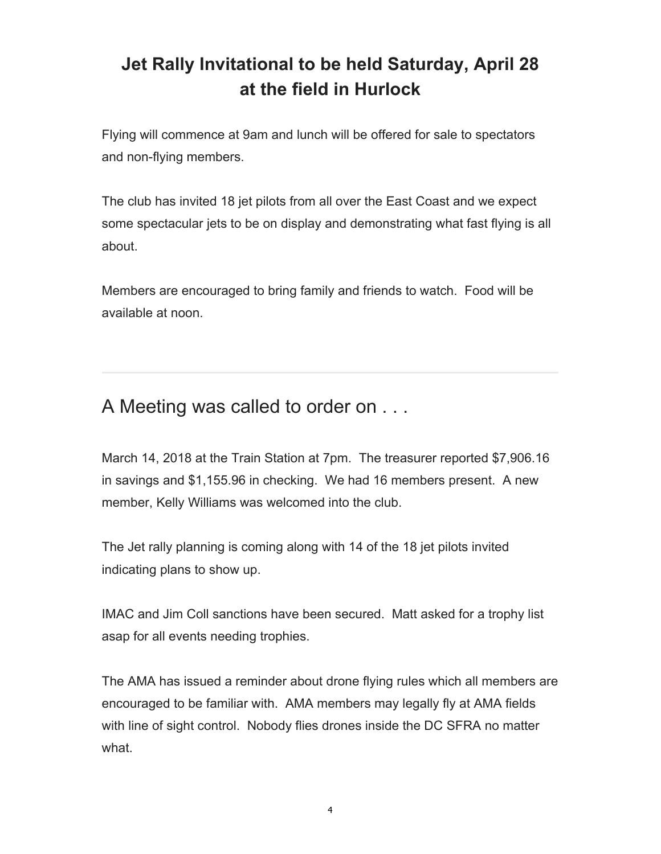# **Jet Rally Invitational to be held Saturday, April 28 at the field in Hurlock**

Flying will commence at 9am and lunch will be offered for sale to spectators and non-flying members.

The club has invited 18 jet pilots from all over the East Coast and we expect some spectacular jets to be on display and demonstrating what fast flying is all about.

Members are encouraged to bring family and friends to watch. Food will be available at noon.

## A Meeting was called to order on . . .

March 14, 2018 at the Train Station at 7pm. The treasurer reported \$7,906.16 in savings and \$1,155.96 in checking. We had 16 members present. A new member, Kelly Williams was welcomed into the club.

The Jet rally planning is coming along with 14 of the 18 jet pilots invited indicating plans to show up.

IMAC and Jim Coll sanctions have been secured. Matt asked for a trophy list asap for all events needing trophies.

The AMA has issued a reminder about drone flying rules which all members are encouraged to be familiar with. AMA members may legally fly at AMA fields with line of sight control. Nobody flies drones inside the DC SFRA no matter what.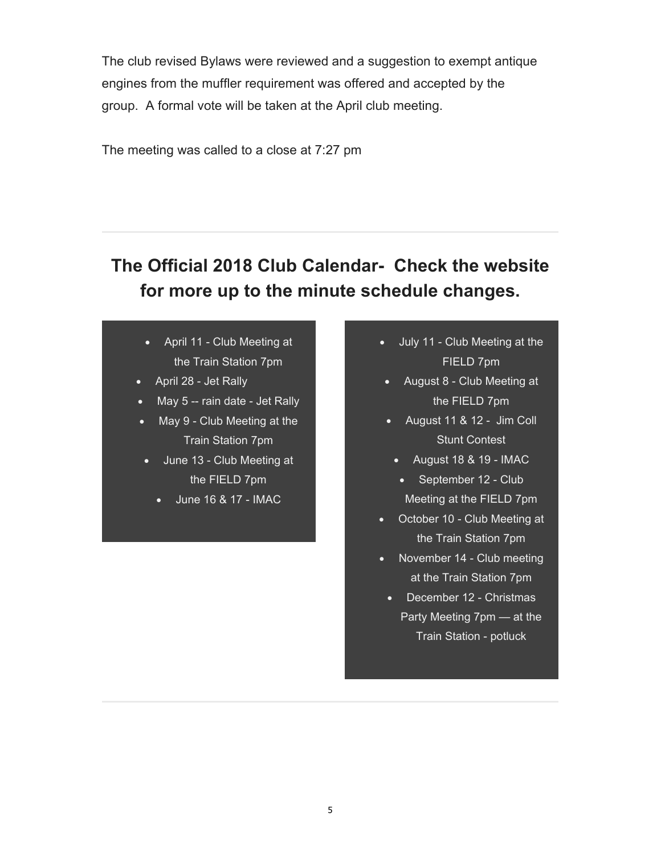The club revised Bylaws were reviewed and a suggestion to exempt antique engines from the muffler requirement was offered and accepted by the group. A formal vote will be taken at the April club meeting.

The meeting was called to a close at 7:27 pm

## **The Official 2018 Club Calendar- Check the website for more up to the minute schedule changes.**

- April 11 Club Meeting at the Train Station 7pm
- April 28 Jet Rally
- May 5 -- rain date Jet Rally
- May 9 Club Meeting at the Train Station 7pm
	- June 13 Club Meeting at the FIELD 7pm
		- June 16 & 17 IMAC
- July 11 Club Meeting at the FIELD 7pm
- August 8 Club Meeting at the FIELD 7pm
- August 11 & 12 Jim Coll Stunt Contest
	- August 18 & 19 IMAC
	- September 12 Club Meeting at the FIELD 7pm
- October 10 Club Meeting at the Train Station 7pm
- November 14 Club meeting at the Train Station 7pm
	- December 12 Christmas Party Meeting 7pm — at the Train Station - potluck